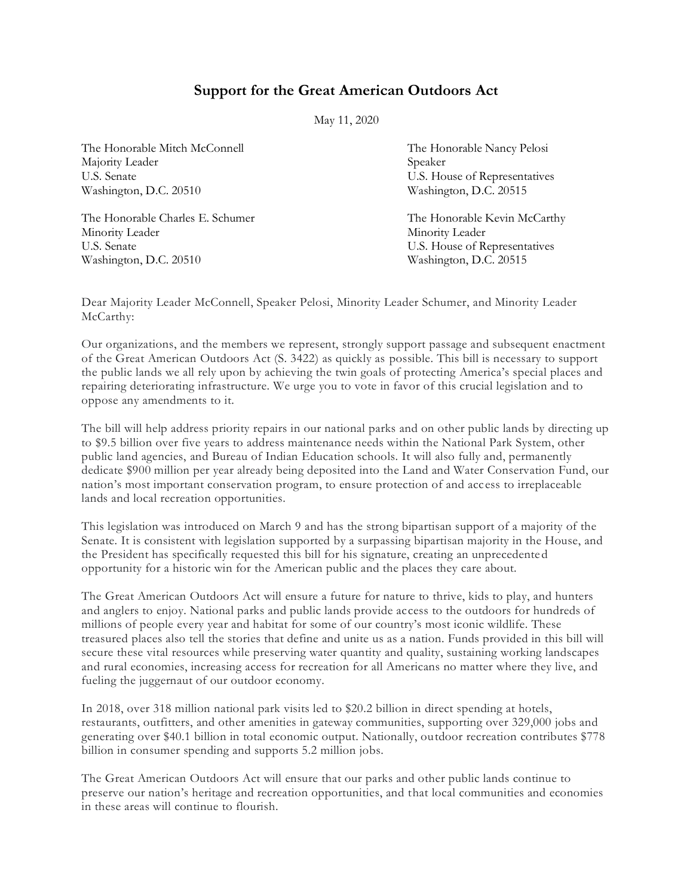## **Support for the Great American Outdoors Act**

May 11, 2020

The Honorable Mitch McConnell The Honorable Nancy Pelosi Majority Leader Speaker U.S. Senate U.S. House of Representatives Washington, D.C. 20510 Washington, D.C. 20515

The Honorable Charles E. Schumer The Honorable Kevin McCarthy Minority Leader Minority Leader U.S. Senate U.S. House of Representatives Washington, D.C. 20510 Washington, D.C. 20515

Dear Majority Leader McConnell, Speaker Pelosi, Minority Leader Schumer, and Minority Leader McCarthy:

Our organizations, and the members we represent, strongly support passage and subsequent enactment of the Great American Outdoors Act (S. 3422) as quickly as possible. This bill is necessary to support the public lands we all rely upon by achieving the twin goals of protecting America's special places and repairing deteriorating infrastructure. We urge you to vote in favor of this crucial legislation and to oppose any amendments to it.

The bill will help address priority repairs in our national parks and on other public lands by directing up to \$9.5 billion over five years to address maintenance needs within the National Park System, other public land agencies, and Bureau of Indian Education schools. It will also fully and, permanently dedicate \$900 million per year already being deposited into the Land and Water Conservation Fund, our nation's most important conservation program, to ensure protection of and acc ess to irreplaceable lands and local recreation opportunities.

This legislation was introduced on March 9 and has the strong bipartisan support of a majority of the Senate. It is consistent with legislation supported by a surpassing bipartisan majority in the House, and the President has specifically requested this bill for his signature, creating an unprecedented opportunity for a historic win for the American public and the places they care about.

The Great American Outdoors Act will ensure a future for nature to thrive, kids to play, and hunters and anglers to enjoy. National parks and public lands provide access to the outdoors for hundreds of millions of people every year and habitat for some of our country's most iconic wildlife. These treasured places also tell the stories that define and unite us as a nation. Funds provided in this bill will secure these vital resources while preserving water quantity and quality, sustaining working landscapes and rural economies, increasing access for recreation for all Americans no matter where they live, and fueling the juggernaut of our outdoor economy.

In 2018, over 318 million national park visits led to \$20.2 billion in direct spending at hotels, restaurants, outfitters, and other amenities in gateway communities, supporting over 329,000 jobs and generating over \$40.1 billion in total economic output. Nationally, outdoor recreation contributes \$778 billion in consumer spending and supports 5.2 million jobs.

The Great American Outdoors Act will ensure that our parks and other public lands continue to preserve our nation's heritage and recreation opportunities, and that local communities and economies in these areas will continue to flourish.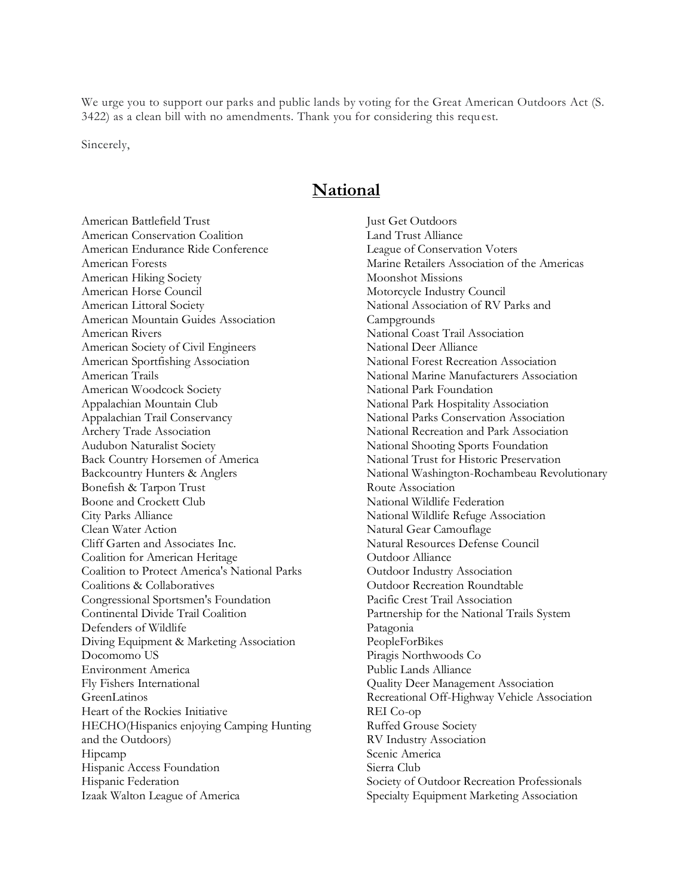We urge you to support our parks and public lands by voting for the Great American Outdoors Act (S. 3422) as a clean bill with no amendments. Thank you for considering this request.

Sincerely,

## **National**

American Battlefield Trust American Conservation Coalition American Endurance Ride Conference American Forests American Hiking Society American Horse Council American Littoral Society American Mountain Guides Association American Rivers American Society of Civil Engineers American Sportfishing Association American Trails American Woodcock Society Appalachian Mountain Club Appalachian Trail Conservancy Archery Trade Association Audubon Naturalist Society Back Country Horsemen of America Backcountry Hunters & Anglers Bonefish & Tarpon Trust Boone and Crockett Club City Parks Alliance Clean Water Action Cliff Garten and Associates Inc. Coalition for American Heritage Coalition to Protect America's National Parks Coalitions & Collaboratives Congressional Sportsmen's Foundation Continental Divide Trail Coalition Defenders of Wildlife Diving Equipment & Marketing Association Docomomo US Environment America Fly Fishers International GreenLatinos Heart of the Rockies Initiative HECHO(Hispanics enjoying Camping Hunting and the Outdoors) Hipcamp Hispanic Access Foundation Hispanic Federation Izaak Walton League of America

Just Get Outdoors Land Trust Alliance League of Conservation Voters Marine Retailers Association of the Americas Moonshot Missions Motorcycle Industry Council National Association of RV Parks and **Campgrounds** National Coast Trail Association National Deer Alliance National Forest Recreation Association National Marine Manufacturers Association National Park Foundation National Park Hospitality Association National Parks Conservation Association National Recreation and Park Association National Shooting Sports Foundation National Trust for Historic Preservation National Washington-Rochambeau Revolutionary Route Association National Wildlife Federation National Wildlife Refuge Association Natural Gear Camouflage Natural Resources Defense Council Outdoor Alliance Outdoor Industry Association Outdoor Recreation Roundtable Pacific Crest Trail Association Partnership for the National Trails System Patagonia PeopleForBikes Piragis Northwoods Co Public Lands Alliance Quality Deer Management Association Recreational Off-Highway Vehicle Association REI Co-op Ruffed Grouse Society RV Industry Association Scenic America Sierra Club Society of Outdoor Recreation Professionals Specialty Equipment Marketing Association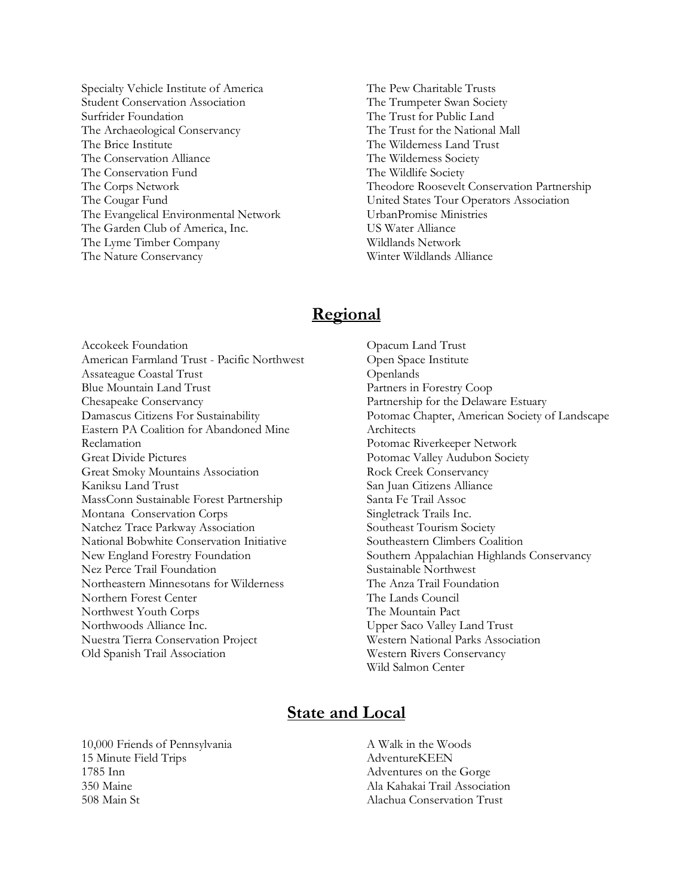- Specialty Vehicle Institute of America Student Conservation Association Surfrider Foundation The Archaeological Conservancy The Brice Institute The Conservation Alliance The Conservation Fund The Corps Network The Cougar Fund The Evangelical Environmental Network The Garden Club of America, Inc. The Lyme Timber Company The Nature Conservancy
- The Pew Charitable Trusts The Trumpeter Swan Society The Trust for Public Land The Trust for the National Mall The Wilderness Land Trust The Wilderness Society The Wildlife Society Theodore Roosevelt Conservation Partnership United States Tour Operators Association UrbanPromise Ministries US Water Alliance Wildlands Network Winter Wildlands Alliance

## **Regional**

Accokeek Foundation American Farmland Trust - Pacific Northwest Assateague Coastal Trust Blue Mountain Land Trust Chesapeake Conservancy Damascus Citizens For Sustainability Eastern PA Coalition for Abandoned Mine Reclamation Great Divide Pictures Great Smoky Mountains Association Kaniksu Land Trust MassConn Sustainable Forest Partnership Montana Conservation Corps Natchez Trace Parkway Association National Bobwhite Conservation Initiative New England Forestry Foundation Nez Perce Trail Foundation Northeastern Minnesotans for Wilderness Northern Forest Center Northwest Youth Corps Northwoods Alliance Inc. Nuestra Tierra Conservation Project Old Spanish Trail Association

Opacum Land Trust Open Space Institute **Openlands** Partners in Forestry Coop Partnership for the Delaware Estuary Potomac Chapter, American Society of Landscape Architects Potomac Riverkeeper Network Potomac Valley Audubon Society Rock Creek Conservancy San Juan Citizens Alliance Santa Fe Trail Assoc Singletrack Trails Inc. Southeast Tourism Society Southeastern Climbers Coalition Southern Appalachian Highlands Conservancy Sustainable Northwest The Anza Trail Foundation The Lands Council The Mountain Pact Upper Saco Valley Land Trust Western National Parks Association Western Rivers Conservancy Wild Salmon Center

## **State and Local**

10,000 Friends of Pennsylvania 15 Minute Field Trips 1785 Inn 350 Maine 508 Main St

A Walk in the Woods AdventureKEEN Adventures on the Gorge Ala Kahakai Trail Association Alachua Conservation Trust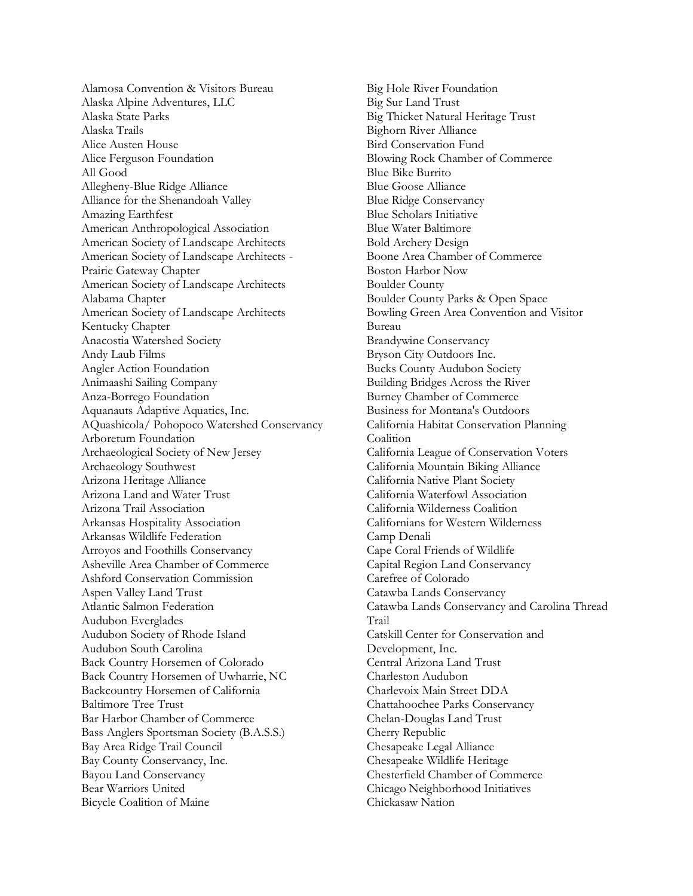Alamosa Convention & Visitors Bureau Alaska Alpine Adventures, LLC Alaska State Parks Alaska Trails Alice Austen House Alice Ferguson Foundation All Good Allegheny-Blue Ridge Alliance Alliance for the Shenandoah Valley Amazing Earthfest American Anthropological Association American Society of Landscape Architects American Society of Landscape Architects - Prairie Gateway Chapter American Society of Landscape Architects Alabama Chapter American Society of Landscape Architects Kentucky Chapter Anacostia Watershed Society Andy Laub Films Angler Action Foundation Animaashi Sailing Company Anza-Borrego Foundation Aquanauts Adaptive Aquatics, Inc. AQuashicola/ Pohopoco Watershed Conservancy Arboretum Foundation Archaeological Society of New Jersey Archaeology Southwest Arizona Heritage Alliance Arizona Land and Water Trust Arizona Trail Association Arkansas Hospitality Association Arkansas Wildlife Federation Arroyos and Foothills Conservancy Asheville Area Chamber of Commerce Ashford Conservation Commission Aspen Valley Land Trust Atlantic Salmon Federation Audubon Everglades Audubon Society of Rhode Island Audubon South Carolina Back Country Horsemen of Colorado Back Country Horsemen of Uwharrie, NC Backcountry Horsemen of California Baltimore Tree Trust Bar Harbor Chamber of Commerce Bass Anglers Sportsman Society (B.A.S.S.) Bay Area Ridge Trail Council Bay County Conservancy, Inc. Bayou Land Conservancy Bear Warriors United Bicycle Coalition of Maine

Big Hole River Foundation Big Sur Land Trust Big Thicket Natural Heritage Trust Bighorn River Alliance Bird Conservation Fund Blowing Rock Chamber of Commerce Blue Bike Burrito Blue Goose Alliance Blue Ridge Conservancy Blue Scholars Initiative Blue Water Baltimore Bold Archery Design Boone Area Chamber of Commerce Boston Harbor Now Boulder County Boulder County Parks & Open Space Bowling Green Area Convention and Visitor Bureau Brandywine Conservancy Bryson City Outdoors Inc. Bucks County Audubon Society Building Bridges Across the River Burney Chamber of Commerce Business for Montana's Outdoors California Habitat Conservation Planning Coalition California League of Conservation Voters California Mountain Biking Alliance California Native Plant Society California Waterfowl Association California Wilderness Coalition Californians for Western Wilderness Camp Denali Cape Coral Friends of Wildlife Capital Region Land Conservancy Carefree of Colorado Catawba Lands Conservancy Catawba Lands Conservancy and Carolina Thread Trail Catskill Center for Conservation and Development, Inc. Central Arizona Land Trust Charleston Audubon Charlevoix Main Street DDA Chattahoochee Parks Conservancy Chelan-Douglas Land Trust Cherry Republic Chesapeake Legal Alliance Chesapeake Wildlife Heritage Chesterfield Chamber of Commerce Chicago Neighborhood Initiatives Chickasaw Nation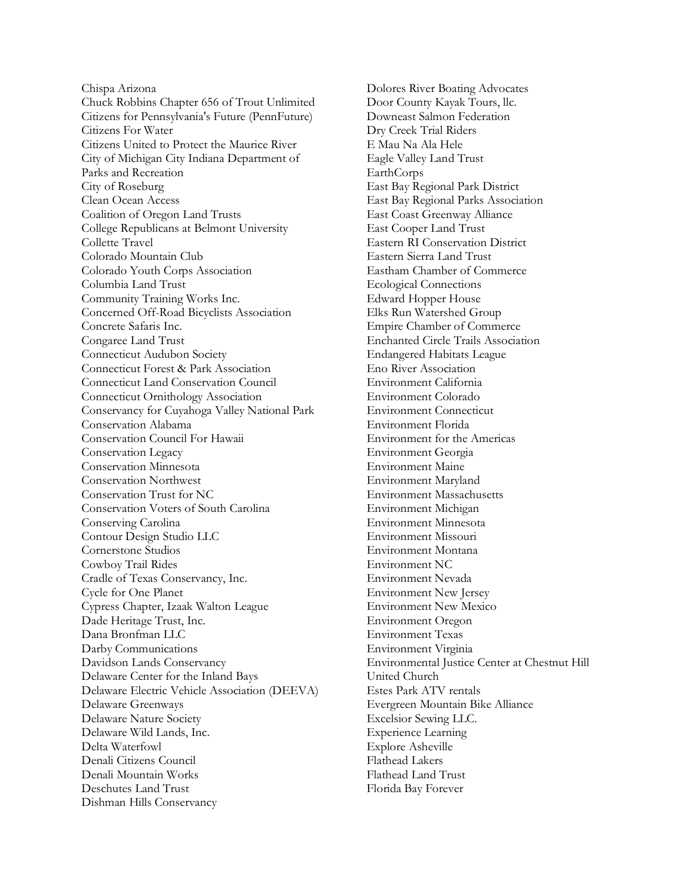Chispa Arizona Chuck Robbins Chapter 656 of Trout Unlimited Citizens for Pennsylvania's Future (PennFuture) Citizens For Water Citizens United to Protect the Maurice River City of Michigan City Indiana Department of Parks and Recreation City of Roseburg Clean Ocean Access Coalition of Oregon Land Trusts College Republicans at Belmont University Collette Travel Colorado Mountain Club Colorado Youth Corps Association Columbia Land Trust Community Training Works Inc. Concerned Off-Road Bicyclists Association Concrete Safaris Inc. Congaree Land Trust Connecticut Audubon Society Connecticut Forest & Park Association Connecticut Land Conservation Council Connecticut Ornithology Association Conservancy for Cuyahoga Valley National Park Conservation Alabama Conservation Council For Hawaii Conservation Legacy Conservation Minnesota Conservation Northwest Conservation Trust for NC Conservation Voters of South Carolina Conserving Carolina Contour Design Studio LLC Cornerstone Studios Cowboy Trail Rides Cradle of Texas Conservancy, Inc. Cycle for One Planet Cypress Chapter, Izaak Walton League Dade Heritage Trust, Inc. Dana Bronfman LLC Darby Communications Davidson Lands Conservancy Delaware Center for the Inland Bays Delaware Electric Vehicle Association (DEEVA) Delaware Greenways Delaware Nature Society Delaware Wild Lands, Inc. Delta Waterfowl Denali Citizens Council Denali Mountain Works Deschutes Land Trust Dishman Hills Conservancy

Dolores River Boating Advocates Door County Kayak Tours, llc. Downeast Salmon Federation Dry Creek Trial Riders E Mau Na Ala Hele Eagle Valley Land Trust EarthCorps East Bay Regional Park District East Bay Regional Parks Association East Coast Greenway Alliance East Cooper Land Trust Eastern RI Conservation District Eastern Sierra Land Trust Eastham Chamber of Commerce Ecological Connections Edward Hopper House Elks Run Watershed Group Empire Chamber of Commerce Enchanted Circle Trails Association Endangered Habitats League Eno River Association Environment California Environment Colorado Environment Connecticut Environment Florida Environment for the Americas Environment Georgia Environment Maine Environment Maryland Environment Massachusetts Environment Michigan Environment Minnesota Environment Missouri Environment Montana Environment NC Environment Nevada Environment New Jersey Environment New Mexico Environment Oregon Environment Texas Environment Virginia Environmental Justice Center at Chestnut Hill United Church Estes Park ATV rentals Evergreen Mountain Bike Alliance Excelsior Sewing LLC. Experience Learning Explore Asheville Flathead Lakers Flathead Land Trust Florida Bay Forever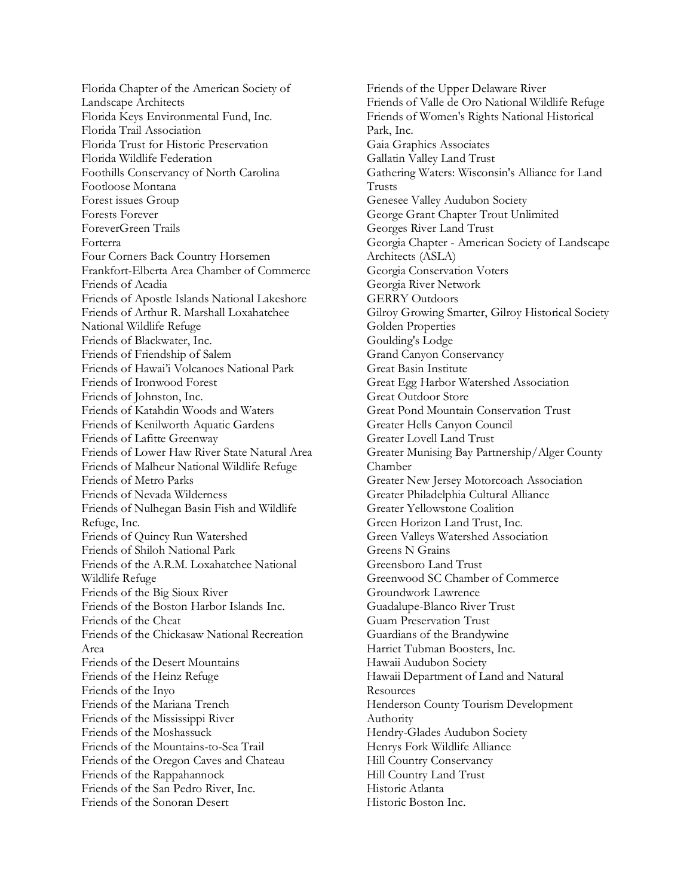Florida Chapter of the American Society of Landscape Architects Florida Keys Environmental Fund, Inc. Florida Trail Association Florida Trust for Historic Preservation Florida Wildlife Federation Foothills Conservancy of North Carolina Footloose Montana Forest issues Group Forests Forever ForeverGreen Trails Forterra Four Corners Back Country Horsemen Frankfort-Elberta Area Chamber of Commerce Friends of Acadia Friends of Apostle Islands National Lakeshore Friends of Arthur R. Marshall Loxahatchee National Wildlife Refuge Friends of Blackwater, Inc. Friends of Friendship of Salem Friends of Hawai'i Volcanoes National Park Friends of Ironwood Forest Friends of Johnston, Inc. Friends of Katahdin Woods and Waters Friends of Kenilworth Aquatic Gardens Friends of Lafitte Greenway Friends of Lower Haw River State Natural Area Friends of Malheur National Wildlife Refuge Friends of Metro Parks Friends of Nevada Wilderness Friends of Nulhegan Basin Fish and Wildlife Refuge, Inc. Friends of Quincy Run Watershed Friends of Shiloh National Park Friends of the A.R.M. Loxahatchee National Wildlife Refuge Friends of the Big Sioux River Friends of the Boston Harbor Islands Inc. Friends of the Cheat Friends of the Chickasaw National Recreation Area Friends of the Desert Mountains Friends of the Heinz Refuge Friends of the Inyo Friends of the Mariana Trench Friends of the Mississippi River Friends of the Moshassuck Friends of the Mountains-to-Sea Trail Friends of the Oregon Caves and Chateau Friends of the Rappahannock Friends of the San Pedro River, Inc. Friends of the Sonoran Desert

Friends of the Upper Delaware River Friends of Valle de Oro National Wildlife Refuge Friends of Women's Rights National Historical Park, Inc. Gaia Graphics Associates Gallatin Valley Land Trust Gathering Waters: Wisconsin's Alliance for Land Trusts Genesee Valley Audubon Society George Grant Chapter Trout Unlimited Georges River Land Trust Georgia Chapter - American Society of Landscape Architects (ASLA) Georgia Conservation Voters Georgia River Network GERRY Outdoors Gilroy Growing Smarter, Gilroy Historical Society Golden Properties Goulding's Lodge Grand Canyon Conservancy Great Basin Institute Great Egg Harbor Watershed Association Great Outdoor Store Great Pond Mountain Conservation Trust Greater Hells Canyon Council Greater Lovell Land Trust Greater Munising Bay Partnership/Alger County Chamber Greater New Jersey Motorcoach Association Greater Philadelphia Cultural Alliance Greater Yellowstone Coalition Green Horizon Land Trust, Inc. Green Valleys Watershed Association Greens N Grains Greensboro Land Trust Greenwood SC Chamber of Commerce Groundwork Lawrence Guadalupe-Blanco River Trust Guam Preservation Trust Guardians of the Brandywine Harriet Tubman Boosters, Inc. Hawaii Audubon Society Hawaii Department of Land and Natural **Resources** Henderson County Tourism Development Authority Hendry-Glades Audubon Society Henrys Fork Wildlife Alliance Hill Country Conservancy Hill Country Land Trust Historic Atlanta Historic Boston Inc.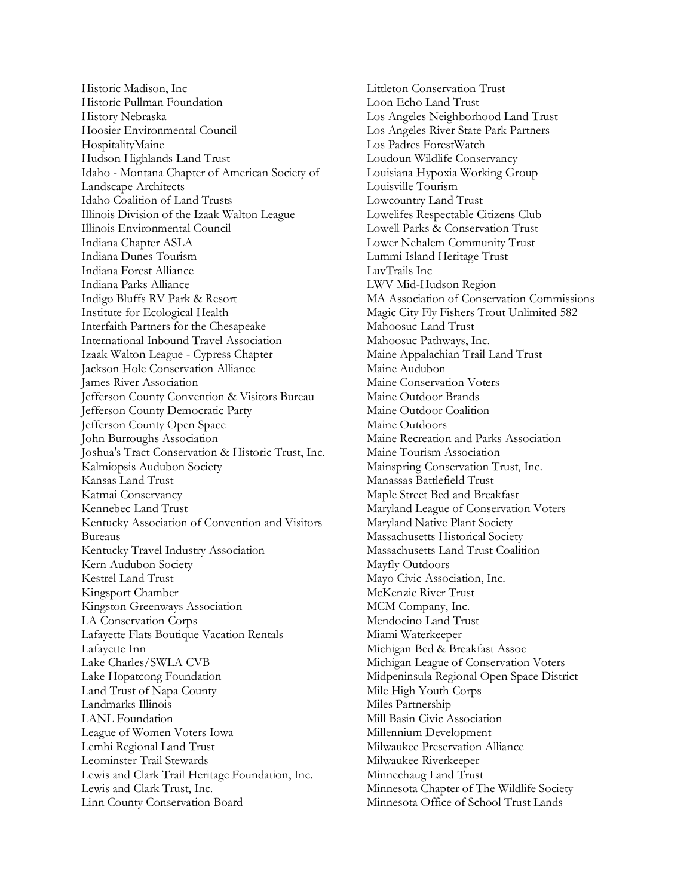Historic Madison, Inc Historic Pullman Foundation History Nebraska Hoosier Environmental Council HospitalityMaine Hudson Highlands Land Trust Idaho - Montana Chapter of American Society of Landscape Architects Idaho Coalition of Land Trusts Illinois Division of the Izaak Walton League Illinois Environmental Council Indiana Chapter ASLA Indiana Dunes Tourism Indiana Forest Alliance Indiana Parks Alliance Indigo Bluffs RV Park & Resort Institute for Ecological Health Interfaith Partners for the Chesapeake International Inbound Travel Association Izaak Walton League - Cypress Chapter Jackson Hole Conservation Alliance James River Association Jefferson County Convention & Visitors Bureau Jefferson County Democratic Party Jefferson County Open Space John Burroughs Association Joshua's Tract Conservation & Historic Trust, Inc. Kalmiopsis Audubon Society Kansas Land Trust Katmai Conservancy Kennebec Land Trust Kentucky Association of Convention and Visitors Bureaus Kentucky Travel Industry Association Kern Audubon Society Kestrel Land Trust Kingsport Chamber Kingston Greenways Association LA Conservation Corps Lafayette Flats Boutique Vacation Rentals Lafayette Inn Lake Charles/SWLA CVB Lake Hopatcong Foundation Land Trust of Napa County Landmarks Illinois LANL Foundation League of Women Voters Iowa Lemhi Regional Land Trust Leominster Trail Stewards Lewis and Clark Trail Heritage Foundation, Inc. Lewis and Clark Trust, Inc. Linn County Conservation Board

Littleton Conservation Trust Loon Echo Land Trust Los Angeles Neighborhood Land Trust Los Angeles River State Park Partners Los Padres ForestWatch Loudoun Wildlife Conservancy Louisiana Hypoxia Working Group Louisville Tourism Lowcountry Land Trust Lowelifes Respectable Citizens Club Lowell Parks & Conservation Trust Lower Nehalem Community Trust Lummi Island Heritage Trust LuvTrails Inc LWV Mid-Hudson Region MA Association of Conservation Commissions Magic City Fly Fishers Trout Unlimited 582 Mahoosuc Land Trust Mahoosuc Pathways, Inc. Maine Appalachian Trail Land Trust Maine Audubon Maine Conservation Voters Maine Outdoor Brands Maine Outdoor Coalition Maine Outdoors Maine Recreation and Parks Association Maine Tourism Association Mainspring Conservation Trust, Inc. Manassas Battlefield Trust Maple Street Bed and Breakfast Maryland League of Conservation Voters Maryland Native Plant Society Massachusetts Historical Society Massachusetts Land Trust Coalition Mayfly Outdoors Mayo Civic Association, Inc. McKenzie River Trust MCM Company, Inc. Mendocino Land Trust Miami Waterkeeper Michigan Bed & Breakfast Assoc Michigan League of Conservation Voters Midpeninsula Regional Open Space District Mile High Youth Corps Miles Partnership Mill Basin Civic Association Millennium Development Milwaukee Preservation Alliance Milwaukee Riverkeeper Minnechaug Land Trust Minnesota Chapter of The Wildlife Society Minnesota Office of School Trust Lands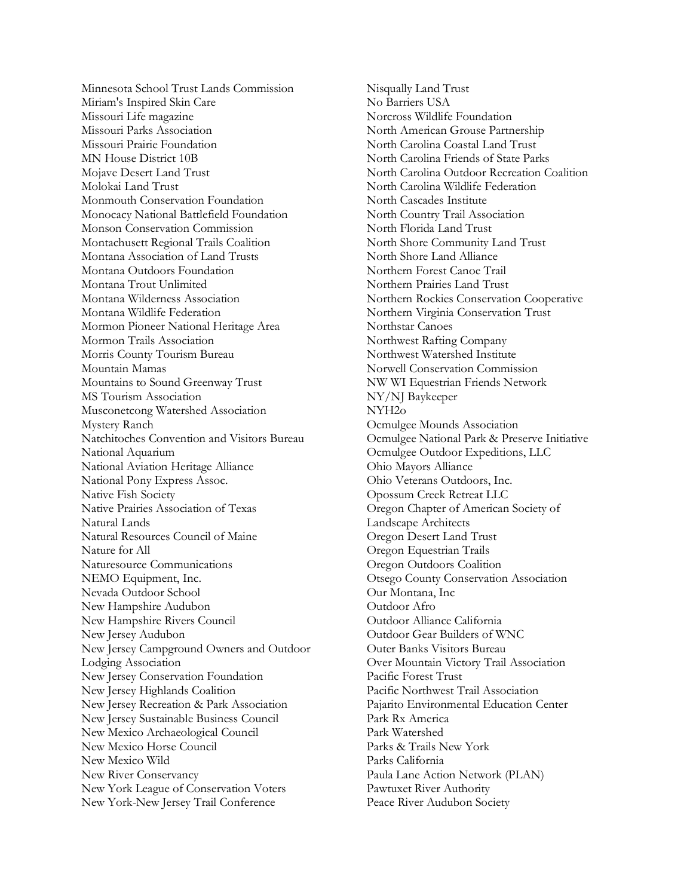Minnesota School Trust Lands Commission Miriam's Inspired Skin Care Missouri Life magazine Missouri Parks Association Missouri Prairie Foundation MN House District 10B Mojave Desert Land Trust Molokai Land Trust Monmouth Conservation Foundation Monocacy National Battlefield Foundation Monson Conservation Commission Montachusett Regional Trails Coalition Montana Association of Land Trusts Montana Outdoors Foundation Montana Trout Unlimited Montana Wilderness Association Montana Wildlife Federation Mormon Pioneer National Heritage Area Mormon Trails Association Morris County Tourism Bureau Mountain Mamas Mountains to Sound Greenway Trust MS Tourism Association Musconetcong Watershed Association Mystery Ranch Natchitoches Convention and Visitors Bureau National Aquarium National Aviation Heritage Alliance National Pony Express Assoc. Native Fish Society Native Prairies Association of Texas Natural Lands Natural Resources Council of Maine Nature for All Naturesource Communications NEMO Equipment, Inc. Nevada Outdoor School New Hampshire Audubon New Hampshire Rivers Council New Jersey Audubon New Jersey Campground Owners and Outdoor Lodging Association New Jersey Conservation Foundation New Jersey Highlands Coalition New Jersey Recreation & Park Association New Jersey Sustainable Business Council New Mexico Archaeological Council New Mexico Horse Council New Mexico Wild New River Conservancy New York League of Conservation Voters New York-New Jersey Trail Conference

Nisqually Land Trust No Barriers USA Norcross Wildlife Foundation North American Grouse Partnership North Carolina Coastal Land Trust North Carolina Friends of State Parks North Carolina Outdoor Recreation Coalition North Carolina Wildlife Federation North Cascades Institute North Country Trail Association North Florida Land Trust North Shore Community Land Trust North Shore Land Alliance Northern Forest Canoe Trail Northern Prairies Land Trust Northern Rockies Conservation Cooperative Northern Virginia Conservation Trust Northstar Canoes Northwest Rafting Company Northwest Watershed Institute Norwell Conservation Commission NW WI Equestrian Friends Network NY/NJ Baykeeper NYH2o Ocmulgee Mounds Association Ocmulgee National Park & Preserve Initiative Ocmulgee Outdoor Expeditions, LLC Ohio Mayors Alliance Ohio Veterans Outdoors, Inc. Opossum Creek Retreat LLC Oregon Chapter of American Society of Landscape Architects Oregon Desert Land Trust Oregon Equestrian Trails Oregon Outdoors Coalition Otsego County Conservation Association Our Montana, Inc Outdoor Afro Outdoor Alliance California Outdoor Gear Builders of WNC Outer Banks Visitors Bureau Over Mountain Victory Trail Association Pacific Forest Trust Pacific Northwest Trail Association Pajarito Environmental Education Center Park Rx America Park Watershed Parks & Trails New York Parks California Paula Lane Action Network (PLAN) Pawtuxet River Authority Peace River Audubon Society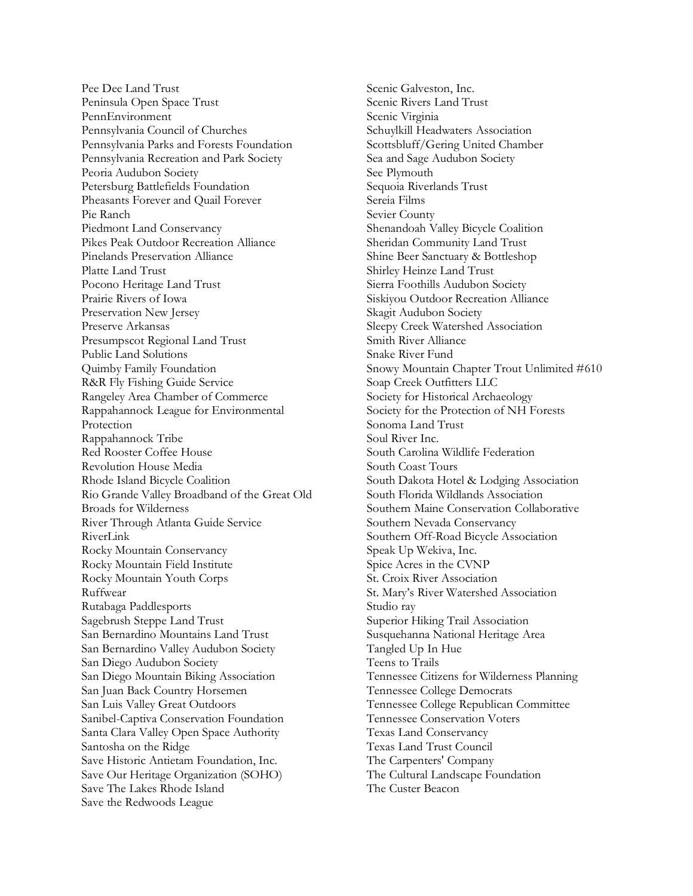Pee Dee Land Trust Peninsula Open Space Trust PennEnvironment Pennsylvania Council of Churches Pennsylvania Parks and Forests Foundation Pennsylvania Recreation and Park Society Peoria Audubon Society Petersburg Battlefields Foundation Pheasants Forever and Quail Forever Pie Ranch Piedmont Land Conservancy Pikes Peak Outdoor Recreation Alliance Pinelands Preservation Alliance Platte Land Trust Pocono Heritage Land Trust Prairie Rivers of Iowa Preservation New Jersey Preserve Arkansas Presumpscot Regional Land Trust Public Land Solutions Quimby Family Foundation R&R Fly Fishing Guide Service Rangeley Area Chamber of Commerce Rappahannock League for Environmental Protection Rappahannock Tribe Red Rooster Coffee House Revolution House Media Rhode Island Bicycle Coalition Rio Grande Valley Broadband of the Great Old Broads for Wilderness River Through Atlanta Guide Service RiverLink Rocky Mountain Conservancy Rocky Mountain Field Institute Rocky Mountain Youth Corps Ruffwear Rutabaga Paddlesports Sagebrush Steppe Land Trust San Bernardino Mountains Land Trust San Bernardino Valley Audubon Society San Diego Audubon Society San Diego Mountain Biking Association San Juan Back Country Horsemen San Luis Valley Great Outdoors Sanibel-Captiva Conservation Foundation Santa Clara Valley Open Space Authority Santosha on the Ridge Save Historic Antietam Foundation, Inc. Save Our Heritage Organization (SOHO) Save The Lakes Rhode Island Save the Redwoods League

Scenic Galveston, Inc. Scenic Rivers Land Trust Scenic Virginia Schuylkill Headwaters Association Scottsbluff/Gering United Chamber Sea and Sage Audubon Society See Plymouth Sequoia Riverlands Trust Sereia Films Sevier County Shenandoah Valley Bicycle Coalition Sheridan Community Land Trust Shine Beer Sanctuary & Bottleshop Shirley Heinze Land Trust Sierra Foothills Audubon Society Siskiyou Outdoor Recreation Alliance Skagit Audubon Society Sleepy Creek Watershed Association Smith River Alliance Snake River Fund Snowy Mountain Chapter Trout Unlimited #610 Soap Creek Outfitters LLC Society for Historical Archaeology Society for the Protection of NH Forests Sonoma Land Trust Soul River Inc. South Carolina Wildlife Federation South Coast Tours South Dakota Hotel & Lodging Association South Florida Wildlands Association Southern Maine Conservation Collaborative Southern Nevada Conservancy Southern Off-Road Bicycle Association Speak Up Wekiva, Inc. Spice Acres in the CVNP St. Croix River Association St. Mary's River Watershed Association Studio ray Superior Hiking Trail Association Susquehanna National Heritage Area Tangled Up In Hue Teens to Trails Tennessee Citizens for Wilderness Planning Tennessee College Democrats Tennessee College Republican Committee Tennessee Conservation Voters Texas Land Conservancy Texas Land Trust Council The Carpenters' Company The Cultural Landscape Foundation The Custer Beacon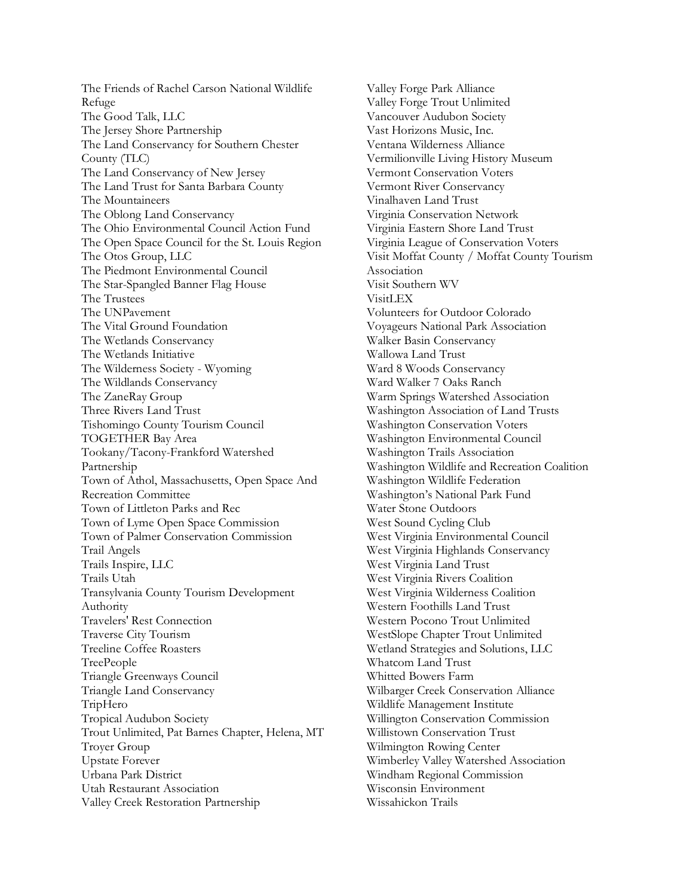The Friends of Rachel Carson National Wildlife Refuge The Good Talk, LLC The Jersey Shore Partnership The Land Conservancy for Southern Chester County (TLC) The Land Conservancy of New Jersey The Land Trust for Santa Barbara County The Mountaineers The Oblong Land Conservancy The Ohio Environmental Council Action Fund The Open Space Council for the St. Louis Region The Otos Group, LLC The Piedmont Environmental Council The Star-Spangled Banner Flag House The Trustees The UNPavement The Vital Ground Foundation The Wetlands Conservancy The Wetlands Initiative The Wilderness Society - Wyoming The Wildlands Conservancy The ZaneRay Group Three Rivers Land Trust Tishomingo County Tourism Council TOGETHER Bay Area Tookany/Tacony-Frankford Watershed Partnership Town of Athol, Massachusetts, Open Space And Recreation Committee Town of Littleton Parks and Rec Town of Lyme Open Space Commission Town of Palmer Conservation Commission Trail Angels Trails Inspire, LLC Trails Utah Transylvania County Tourism Development Authority Travelers' Rest Connection Traverse City Tourism Treeline Coffee Roasters TreePeople Triangle Greenways Council Triangle Land Conservancy TripHero Tropical Audubon Society Trout Unlimited, Pat Barnes Chapter, Helena, MT Troyer Group Upstate Forever Urbana Park District Utah Restaurant Association Valley Creek Restoration Partnership

Valley Forge Park Alliance Valley Forge Trout Unlimited Vancouver Audubon Society Vast Horizons Music, Inc. Ventana Wilderness Alliance Vermilionville Living History Museum Vermont Conservation Voters Vermont River Conservancy Vinalhaven Land Trust Virginia Conservation Network Virginia Eastern Shore Land Trust Virginia League of Conservation Voters Visit Moffat County / Moffat County Tourism Association Visit Southern WV VisitLEX Volunteers for Outdoor Colorado Voyageurs National Park Association Walker Basin Conservancy Wallowa Land Trust Ward 8 Woods Conservancy Ward Walker 7 Oaks Ranch Warm Springs Watershed Association Washington Association of Land Trusts Washington Conservation Voters Washington Environmental Council Washington Trails Association Washington Wildlife and Recreation Coalition Washington Wildlife Federation Washington's National Park Fund Water Stone Outdoors West Sound Cycling Club West Virginia Environmental Council West Virginia Highlands Conservancy West Virginia Land Trust West Virginia Rivers Coalition West Virginia Wilderness Coalition Western Foothills Land Trust Western Pocono Trout Unlimited WestSlope Chapter Trout Unlimited Wetland Strategies and Solutions, LLC Whatcom Land Trust Whitted Bowers Farm Wilbarger Creek Conservation Alliance Wildlife Management Institute Willington Conservation Commission Willistown Conservation Trust Wilmington Rowing Center Wimberley Valley Watershed Association Windham Regional Commission Wisconsin Environment Wissahickon Trails